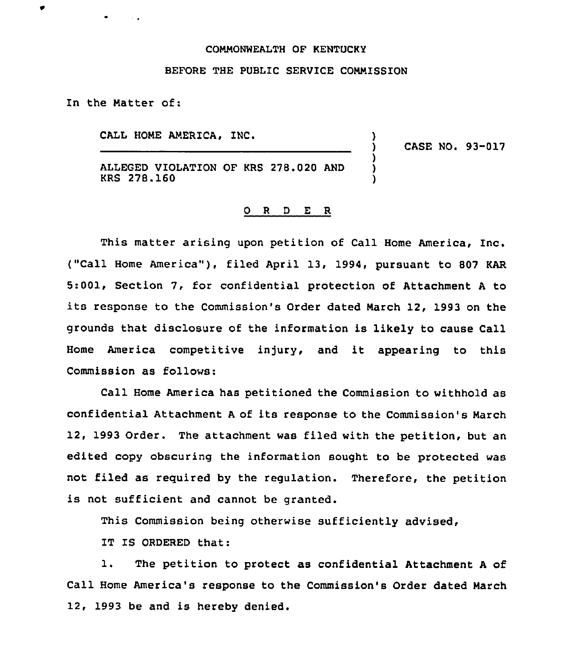## COMMONWEALTH OF KENTUCKY

## BEFORE THE PUBLIC SERVICE COMMISSION

In the Natter of:

CALL HONE AMERICA,

) CASE NO. 93-017

)

) ) )

ALLEGED VIOLATION OF KRS 278.020 AND KRS 278.160

## 0 R <sup>D</sup> E R

This matter arising upon petition of Call Home America, Inc. ("Call Home America"}, filed April 13, 1994, pursuant to <sup>807</sup> KAR 5:001, Section 7, for confidential protection of Attachment <sup>A</sup> to its response to the Commission's Order dated March 12, 1993 on the grounds that disclosure of the information is likely to cause Call Home America competitive injury, and it appearing to this Commission as follows:

Call Home America has petitioned the Commission to withhold as confidential Attachment <sup>A</sup> of its response to the Commission's March 12, 1993 Order. The attachment was filed with the petition, but an edited copy obscuring the information sought to be protected was not filed as required by the regulation. Therefore, the petition is not sufficient and cannot be granted.

This Commission being otherwise sufficiently advised,

IT IS ORDERED that:

1. The petition to protect as confidential Attachment <sup>A</sup> of Call Home America's response to the Commission's Order dated March 12, 1993 be and is hereby denied.